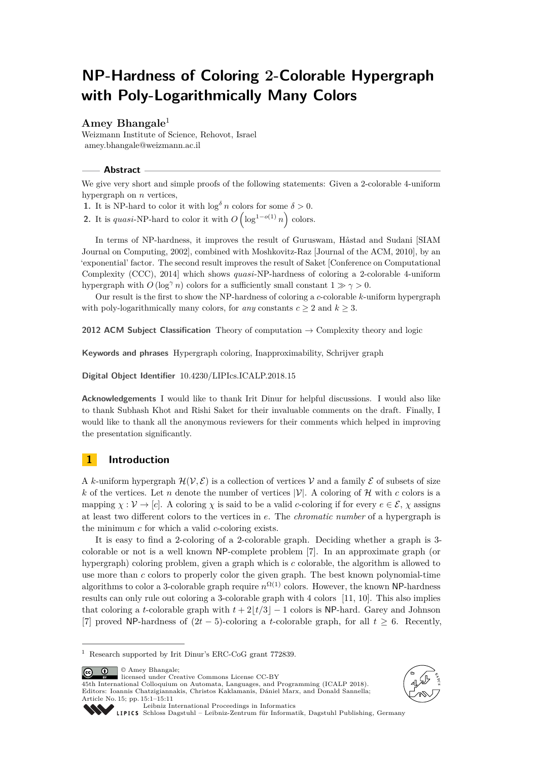# **NP-Hardness of Coloring 2-Colorable Hypergraph with Poly-Logarithmically Many Colors**

### **Amey Bhangale**<sup>1</sup>

Weizmann Institute of Science, Rehovot, Israel [amey.bhangale@weizmann.ac.il](mailto: amey.bhangale@weizmann.ac.il)

#### **Abstract**

We give very short and simple proofs of the following statements: Given a 2-colorable 4-uniform hypergraph on *n* vertices,

**1.** It is NP-hard to color it with  $\log^{\delta} n$  colors for some  $\delta > 0$ .

**2.** It is *quasi*-NP-hard to color it with  $O\left(\log^{1-o(1)} n\right)$  colors.

In terms of NP-hardness, it improves the result of Guruswam, Håstad and Sudani [SIAM Journal on Computing, 2002], combined with Moshkovitz-Raz [Journal of the ACM, 2010], by an 'exponential' factor. The second result improves the result of Saket [Conference on Computational Complexity (CCC), 2014] which shows *quasi*-NP-hardness of coloring a 2-colorable 4-uniform hypergraph with *O* (log<sup> $\gamma$ </sup> *n*) colors for a sufficiently small constant  $1 \gg \gamma > 0$ .

Our result is the first to show the NP-hardness of coloring a *c*-colorable *k*-uniform hypergraph with poly-logarithmically many colors, for *any* constants  $c \geq 2$  and  $k \geq 3$ .

**2012 ACM Subject Classification** Theory of computation  $\rightarrow$  Complexity theory and logic

**Keywords and phrases** Hypergraph coloring, Inapproximability, Schrijver graph

**Digital Object Identifier** [10.4230/LIPIcs.ICALP.2018.15](http://dx.doi.org/10.4230/LIPIcs.ICALP.2018.15)

**Acknowledgements** I would like to thank Irit Dinur for helpful discussions. I would also like to thank Subhash Khot and Rishi Saket for their invaluable comments on the draft. Finally, I would like to thank all the anonymous reviewers for their comments which helped in improving the presentation significantly.

### **1 Introduction**

A *k*-uniform hypergraph  $\mathcal{H}(\mathcal{V}, \mathcal{E})$  is a collection of vertices V and a family  $\mathcal E$  of subsets of size *k* of the vertices. Let *n* denote the number of vertices  $|\mathcal{V}|$ . A coloring of *H* with *c* colors is a mapping  $\chi : \mathcal{V} \to [c]$ . A coloring  $\chi$  is said to be a valid *c*-coloring if for every  $e \in \mathcal{E}$ ,  $\chi$  assigns at least two different colors to the vertices in *e*. The *chromatic number* of a hypergraph is the minimum *c* for which a valid *c*-coloring exists.

It is easy to find a 2-coloring of a 2-colorable graph. Deciding whether a graph is 3 colorable or not is a well known NP-complete problem [\[7\]](#page-9-0). In an approximate graph (or hypergraph) coloring problem, given a graph which is *c* colorable, the algorithm is allowed to use more than *c* colors to properly color the given graph. The best known polynomial-time algorithms to color a 3-colorable graph require  $n^{\Omega(1)}$  colors. However, the known NP-hardness results can only rule out coloring a 3-colorable graph with 4 colors [\[11,](#page-9-1) [10\]](#page-9-2). This also implies that coloring a *t*-colorable graph with  $t + 2|t/3 - 1$  colors is NP-hard. Garey and Johnson [\[7\]](#page-9-0) proved NP-hardness of (2*t* − 5)-coloring a *t*-colorable graph, for all *t* ≥ 6. Recently,

© Amey Bhangale;  $\boxed{6}$  0

licensed under Creative Commons License CC-BY

45th International Colloquium on Automata, Languages, and Programming (ICALP 2018). Editors: Ioannis Chatzigiannakis, Christos Kaklamanis, Dániel Marx, and Donald Sannella; Article No. 15; pp. 15:1–15[:11](#page-10-0)





[Leibniz International Proceedings in Informatics](http://www.dagstuhl.de/lipics/)

[Schloss Dagstuhl – Leibniz-Zentrum für Informatik, Dagstuhl Publishing, Germany](http://www.dagstuhl.de)

<sup>&</sup>lt;sup>1</sup> Research supported by Irit Dinur's ERC-CoG grant 772839.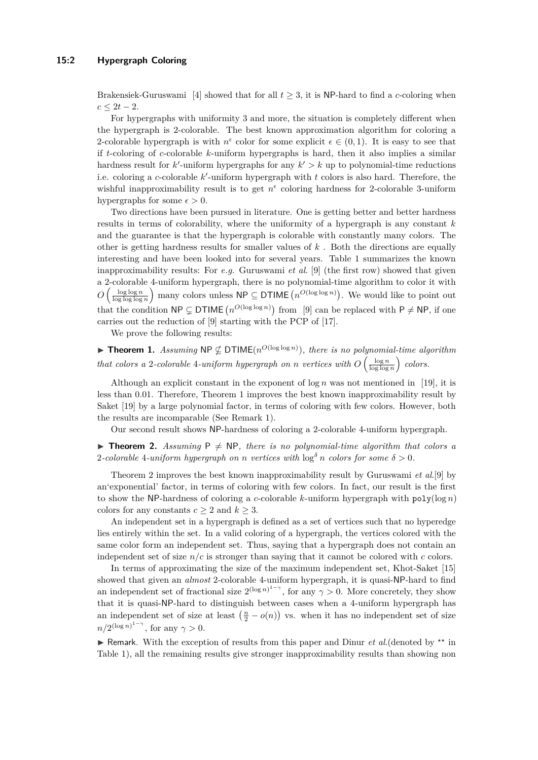#### **15:2 Hypergraph Coloring**

Brakensiek-Guruswami [\[4\]](#page-9-3) showed that for all  $t \geq 3$ , it is NP-hard to find a *c*-coloring when  $c \leq 2t - 2.$ 

For hypergraphs with uniformity 3 and more, the situation is completely different when the hypergraph is 2-colorable. The best known approximation algorithm for coloring a 2-colorable hypergraph is with  $n^{\epsilon}$  color for some explicit  $\epsilon \in (0,1)$ . It is easy to see that if *t*-coloring of *c*-colorable *k*-uniform hypergraphs is hard, then it also implies a similar hardness result for  $k'$ -uniform hypergraphs for any  $k' > k$  up to polynomial-time reductions i.e. coloring a *c*-colorable  $k'$ -uniform hypergraph with  $t$  colors is also hard. Therefore, the wishful inapproximability result is to get  $n^{\epsilon}$  coloring hardness for 2-colorable 3-uniform hypergraphs for some  $\epsilon > 0$ .

Two directions have been pursued in literature. One is getting better and better hardness results in terms of colorability, where the uniformity of a hypergraph is any constant *k* and the guarantee is that the hypergraph is colorable with constantly many colors. The other is getting hardness results for smaller values of *k* . Both the directions are equally interesting and have been looked into for several years. Table [1](#page-2-0) summarizes the known inapproximability results: For *e.g.* Guruswami *et al*. [\[9\]](#page-9-4) (the first row) showed that given a 2-colorable 4-uniform hypergraph, there is no polynomial-time algorithm to color it with *O*  $\left(\frac{\log \log n}{\log \log \log n}\right)$  many colors unless  $\mathsf{NP} \subseteq \mathsf{DTIME}\left(n^{O(\log \log n)}\right)$ . We would like to point out that the condition  $\mathsf{NP} \subsetneq \mathsf{DTIME}\left(n^{O(\log \log n)}\right)$  from [\[9\]](#page-9-4) can be replaced with  $\mathsf{P} \neq \mathsf{NP}$ , if one carries out the reduction of [\[9\]](#page-9-4) starting with the PCP of [\[17\]](#page-10-1).

We prove the following results:

<span id="page-1-0"></span>**Findment 1.** Assuming  $NP \nsubseteq DTIME(n^{O(\log \log n)})$ , there is no polynomial-time algorithm *that colors a* 2*-colorable* 4*-uniform hypergraph on <i>n vertices with*  $O\left(\frac{\log n}{\log \log n}\right)$  *colors.* 

Although an explicit constant in the exponent of  $\log n$  was not mentioned in [\[19\]](#page-10-2), it is less than 0*.*01. Therefore, [Theorem 1](#page-1-0) improves the best known inapproximability result by Saket [\[19\]](#page-10-2) by a large polynomial factor, in terms of coloring with few colors. However, both the results are incomparable (See [Remark 1\)](#page-1-1).

Our second result shows NP-hardness of coloring a 2-colorable 4-uniform hypergraph.

<span id="page-1-1"></span>**I Theorem 2.** Assuming  $P \neq NP$ , there is no polynomial-time algorithm that colors a 2-colorable 4-uniform hypergraph on *n* vertices with  $\log^{\delta} n$  colors for some  $\delta > 0$ .

[Theorem 2](#page-1-1) improves the best known inapproximability result by Guruswami *et al*.[\[9\]](#page-9-4) by an'exponential' factor, in terms of coloring with few colors. In fact, our result is the first to show the NP-hardness of coloring a *c*-colorable *k*-uniform hypergraph with  $poly(log n)$ colors for any constants  $c \geq 2$  and  $k \geq 3$ .

An independent set in a hypergraph is defined as a set of vertices such that no hyperedge lies entirely within the set. In a valid coloring of a hypergraph, the vertices colored with the same color form an independent set. Thus, saying that a hypergraph does not contain an independent set of size *n/c* is stronger than saying that it cannot be colored with *c* colors.

In terms of approximating the size of the maximum independent set, Khot-Saket [\[15\]](#page-10-3) showed that given an *almost* 2-colorable 4-uniform hypergraph, it is quasi-NP-hard to find an independent set of fractional size  $2^{(\log n)^{1-\gamma}}$ , for any  $\gamma > 0$ . More concretely, they show that it is quasi-NP-hard to distinguish between cases when a 4-uniform hypergraph has an independent set of size at least  $\left(\frac{n}{2} - o(n)\right)$  vs. when it has no independent set of size  $n/2^{(\log n)^{1-\gamma}}$ , for any  $\gamma > 0$ .

► Remark. With the exception of results from this paper and Dinur *et al.*(denoted by <sup>\*\*</sup> in Table [1\)](#page-2-0), all the remaining results give stronger inapproximability results than showing non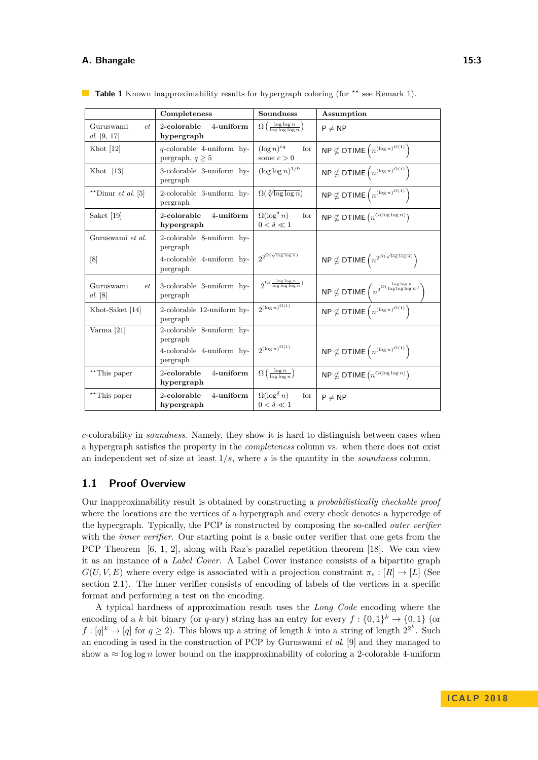#### **A. Bhangale 15:3**

|                                   | Completeness                                         | <b>Soundness</b>                                       | Assumption                                                                        |
|-----------------------------------|------------------------------------------------------|--------------------------------------------------------|-----------------------------------------------------------------------------------|
| Guruswami<br>et<br>al. [9, 17]    | 2-colorable<br>4-uniform<br>hypergraph               | $\Omega\left(\frac{\log\log n}{\log\log\log n}\right)$ | $P \neq NP$                                                                       |
| Khot $[12]$                       | $q$ -colorable 4-uniform hy-<br>pergraph, $q \geq 5$ | $(\log n)^{cq}$<br>for<br>some $c > 0$                 | $NP \nsubseteq$ DTIME $(n^{(\log n)^{O(1)}})$                                     |
| Khot $[13]$                       | 3-colorable 3-uniform hy-<br>pergraph                | $(\log \log n)^{1/9}$                                  | $\mathsf{NP} \nsubseteq \mathsf{DTIME}\left(n^{(\log n)^{O(1)}}\right)$           |
| **Dinur <i>et al.</i> [5]         | 2-colorable 3-uniform hy-<br>pergraph                | $\Omega(\sqrt[3]{\log \log n})$                        | $\textsf{NP}\nsubseteq\textsf{DTIME}\left(n^{(\log n)^{O(1)}}\right)$             |
| Saket $[19]$                      | 2-colorable<br>4-uniform<br>hypergraph               | $\Omega(\log^\delta n)$<br>for<br>$0 < \delta \ll 1$   | $\mathsf{NP}\nsubseteq\mathsf{DTIME}\left(n^{O(\log\log n)}\right)$               |
| Guruswami et al.                  | 2-colorable 8-uniform hy-<br>pergraph                |                                                        |                                                                                   |
| [8]                               | 4-colorable 4-uniform hy-<br>pergraph                | $2^{2^{\Omega(\sqrt{\log\log n})}}$                    | $\mathsf{NP}\nsubseteq\mathsf{DTIME}\left(n^{2^{O(\sqrt{\log\log n})}}\right)$    |
| Guruswami<br>et<br><i>al.</i> [8] | 3-colorable 3-uniform hy-<br>pergraph                | $2^{\Omega(\frac{\log \log n}{\log \log \log n})}$     | $NP \nsubseteq DTIME\left(n^{2^{O(\frac{\log \log n}{\log \log \log n})}}\right)$ |
| Khot-Saket [14]                   | 2-colorable 12-uniform hy-<br>pergraph               | $2^{(\log n)^{\Omega(1)}}$                             | $\overline{\mathsf{NP}\nsubseteq \mathsf{DTIME}\left(n^{(\log n)^{O(1)}}\right)}$ |
| Varma $[21]$                      | 2-colorable 8-uniform hy-<br>pergraph                |                                                        |                                                                                   |
|                                   | 4-colorable 4-uniform hy-<br>pergraph                | $2^{(\log n)^{\Omega(1)}}$                             | $\mathsf{NP} \nsubseteq \mathsf{DTIME}\left(n^{(\log n)^{O(1)}}\right)$           |
| **This paper                      | 2-colorable<br>4-uniform<br>hypergraph               | $\Omega\left(\frac{\log n}{\log \log n}\right)$        | $\mathsf{NP} \nsubseteq \mathsf{DTIME}\left(n^{O(\log \log n)}\right)$            |
| **This paper                      | 4-uniform<br>2-colorable<br>hypergraph               | $\Omega(\log^\delta n)$<br>for<br>$0 < \delta \ll 1$   | $P \neq NP$                                                                       |

<span id="page-2-0"></span>**Table 1** Known inapproximability results for hypergraph coloring (for <sup>\*\*</sup> see [Remark 1\)](#page-1-1).

*c*-colorability in *soundness*. Namely, they show it is hard to distinguish between cases when a hypergraph satisfies the property in the *completeness* column vs. when there does not exist an independent set of size at least 1*/s*, where *s* is the quantity in the *soundness* column.

#### **1.1 Proof Overview**

Our inapproximability result is obtained by constructing a *probabilistically checkable proof* where the locations are the vertices of a hypergraph and every check denotes a hyperedge of the hypergraph. Typically, the PCP is constructed by composing the so-called *outer verifier* with the *inner verifier*. Our starting point is a basic outer verifier that one gets from the PCP Theorem [\[6,](#page-9-10) [1,](#page-9-11) [2\]](#page-9-12), along with Raz's parallel repetition theorem [\[18\]](#page-10-5). We can view it as an instance of a *Label Cover*. A Label Cover instance consists of a bipartite graph  $G(U, V, E)$  where every edge is associated with a projection constraint  $\pi_e : [R] \to [L]$  (See section [2.1\)](#page-5-0). The inner verifier consists of encoding of labels of the vertices in a specific format and performing a test on the encoding.

A typical hardness of approximation result uses the *Long Code* encoding where the encoding of a *k* bit binary (or *q*-ary) string has an entry for every  $f: \{0,1\}^k \to \{0,1\}$  (or  $f: [q]^k \to [q]$  for  $q \ge 2$ ). This blows up a string of length *k* into a string of length  $2^{2^k}$ . Such an encoding is used in the construction of PCP by Guruswami *et al*. [\[9\]](#page-9-4) and they managed to show a  $\approx \log \log n$  lower bound on the inapproximability of coloring a 2-colorable 4-uniform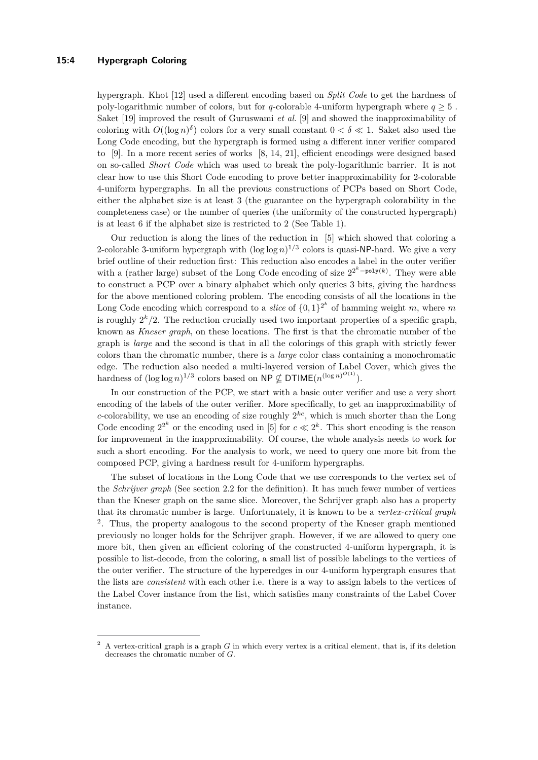#### **15:4 Hypergraph Coloring**

hypergraph. Khot [\[12\]](#page-9-5) used a different encoding based on *Split Code* to get the hardness of poly-logarithmic number of colors, but for *q*-colorable 4-uniform hypergraph where  $q > 5$ . Saket [\[19\]](#page-10-2) improved the result of Guruswami *et al*. [\[9\]](#page-9-4) and showed the inapproximability of coloring with  $O((\log n)^{\delta})$  colors for a very small constant  $0 < \delta \ll 1$ . Saket also used the Long Code encoding, but the hypergraph is formed using a different inner verifier compared to [\[9\]](#page-9-4). In a more recent series of works [\[8,](#page-9-8) [14,](#page-9-9) [21\]](#page-10-4), efficient encodings were designed based on so-called *Short Code* which was used to break the poly-logarithmic barrier. It is not clear how to use this Short Code encoding to prove better inapproximability for 2-colorable 4-uniform hypergraphs. In all the previous constructions of PCPs based on Short Code, either the alphabet size is at least 3 (the guarantee on the hypergraph colorability in the completeness case) or the number of queries (the uniformity of the constructed hypergraph) is at least 6 if the alphabet size is restricted to 2 (See Table [1\)](#page-2-0).

Our reduction is along the lines of the reduction in [\[5\]](#page-9-7) which showed that coloring a 2-colorable 3-uniform hypergraph with  $(\log \log n)^{1/3}$  colors is quasi-NP-hard. We give a very brief outline of their reduction first: This reduction also encodes a label in the outer verifier with a (rather large) subset of the Long Code encoding of size  $2^{2^k-poly(k)}$ . They were able to construct a PCP over a binary alphabet which only queries 3 bits, giving the hardness for the above mentioned coloring problem. The encoding consists of all the locations in the Long Code encoding which correspond to a *slice* of  $\{0,1\}^{2^k}$  of hamming weight *m*, where *m* is roughly  $2^k/2$ . The reduction crucially used two important properties of a specific graph, known as *Kneser graph*, on these locations. The first is that the chromatic number of the graph is *large* and the second is that in all the colorings of this graph with strictly fewer colors than the chromatic number, there is a *large* color class containing a monochromatic edge. The reduction also needed a multi-layered version of Label Cover, which gives the hardness of  $(\log \log n)^{1/3}$  colors based on  $\mathsf{NP} \nsubseteq \mathsf{DTIME}(n^{(\log n)^{O(1)}})$ .

In our construction of the PCP, we start with a basic outer verifier and use a very short encoding of the labels of the outer verifier. More specifically, to get an inapproximability of *c*-colorability, we use an encoding of size roughly  $2^{kc}$ , which is much shorter than the Long Code encoding  $2^{2^k}$  or the encoding used in [\[5\]](#page-9-7) for  $c \ll 2^k$ . This short encoding is the reason for improvement in the inapproximability. Of course, the whole analysis needs to work for such a short encoding. For the analysis to work, we need to query one more bit from the composed PCP, giving a hardness result for 4-uniform hypergraphs.

The subset of locations in the Long Code that we use corresponds to the vertex set of the *Schrijver graph* (See section [2.2](#page-5-1) for the definition). It has much fewer number of vertices than the Kneser graph on the same slice. Moreover, the Schrijver graph also has a property that its chromatic number is large. Unfortunately, it is known to be a *vertex-critical graph* <sup>[2](#page-3-0)</sup>. Thus, the property analogous to the second property of the Kneser graph mentioned previously no longer holds for the Schrijver graph. However, if we are allowed to query one more bit, then given an efficient coloring of the constructed 4-uniform hypergraph, it is possible to list-decode, from the coloring, a small list of possible labelings to the vertices of the outer verifier. The structure of the hyperedges in our 4-uniform hypergraph ensures that the lists are *consistent* with each other i.e. there is a way to assign labels to the vertices of the Label Cover instance from the list, which satisfies many constraints of the Label Cover instance.

<span id="page-3-0"></span><sup>2</sup> A vertex-critical graph is a graph *G* in which every vertex is a critical element, that is, if its deletion decreases the chromatic number of *G*.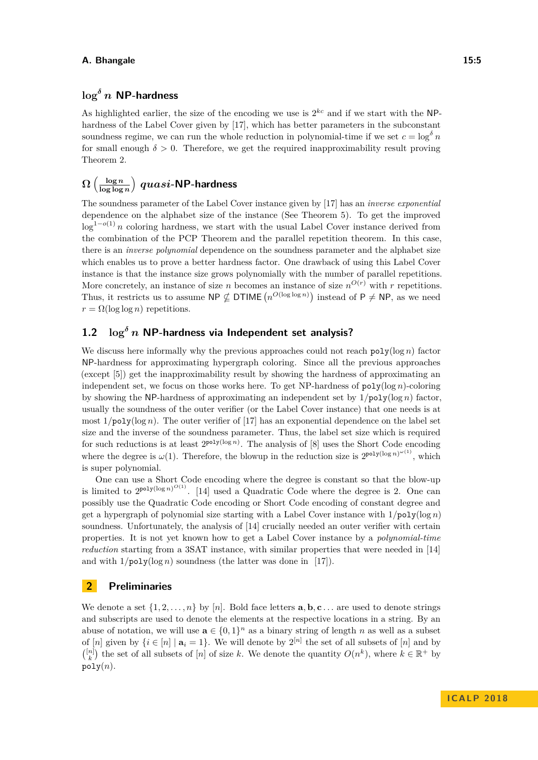#### **A. Bhangale 15:5**

### **log***<sup>δ</sup> n* **NP-hardness**

As highlighted earlier, the size of the encoding we use is  $2^{kc}$  and if we start with the NPhardness of the Label Cover given by [\[17\]](#page-10-1), which has better parameters in the subconstant soundness regime, we can run the whole reduction in polynomial-time if we set  $c = \log^{\delta} n$ for small enough  $\delta > 0$ . Therefore, we get the required inapproximability result proving [Theorem 2.](#page-1-1)

#### $\Omega$   $\Big(\frac{\log n}{\log \log n}\Big)$ **log log** *n quasi***-NP-hardness**

The soundness parameter of the Label Cover instance given by [\[17\]](#page-10-1) has an *inverse exponential* dependence on the alphabet size of the instance (See [Theorem 5\)](#page-5-2). To get the improved  $\log^{1-o(1)} n$  coloring hardness, we start with the usual Label Cover instance derived from the combination of the PCP Theorem and the parallel repetition theorem. In this case, there is an *inverse polynomial* dependence on the soundness parameter and the alphabet size which enables us to prove a better hardness factor. One drawback of using this Label Cover instance is that the instance size grows polynomially with the number of parallel repetitions. More concretely, an instance of size *n* becomes an instance of size  $n^{O(r)}$  with *r* repetitions. Thus, it restricts us to assume  $\text{NP} \not\subseteq \text{DTIME}(n^{O(\log \log n)})$  instead of  $\text{P} \neq \text{NP}$ , as we need  $r = \Omega(\log \log n)$  repetitions.

## **1.2 log***<sup>δ</sup> n* **NP-hardness via Independent set analysis?**

We discuss here informally why the previous approaches could not reach  $poly(\log n)$  factor NP-hardness for approximating hypergraph coloring. Since all the previous approaches (except [\[5\]](#page-9-7)) get the inapproximability result by showing the hardness of approximating an independent set, we focus on those works here. To get NP-hardness of poly(log *n*)-coloring by showing the NP-hardness of approximating an independent set by 1*/*poly(log *n*) factor, usually the soundness of the outer verifier (or the Label Cover instance) that one needs is at most  $1/poly(\log n)$ . The outer verifier of [\[17\]](#page-10-1) has an exponential dependence on the label set size and the inverse of the soundness parameter. Thus, the label set size which is required for such reductions is at least  $2^{poly(\log n)}$ . The analysis of [\[8\]](#page-9-8) uses the Short Code encoding where the degree is  $\omega(1)$ . Therefore, the blowup in the reduction size is  $2^{\text{poly}(\log n)^{\omega(1)}}$ , which is super polynomial.

One can use a Short Code encoding where the degree is constant so that the blow-up is limited to  $2^{poly(\log n)^{O(1)}}$ . [\[14\]](#page-9-9) used a Quadratic Code where the degree is 2. One can possibly use the Quadratic Code encoding or Short Code encoding of constant degree and get a hypergraph of polynomial size starting with a Label Cover instance with  $1/poly(\log n)$ soundness. Unfortunately, the analysis of [\[14\]](#page-9-9) crucially needed an outer verifier with certain properties. It is not yet known how to get a Label Cover instance by a *polynomial-time reduction* starting from a 3SAT instance, with similar properties that were needed in [\[14\]](#page-9-9) and with  $1/\text{poly}(\log n)$  soundness (the latter was done in [\[17\]](#page-10-1)).

#### **2 Preliminaries**

We denote a set  $\{1, 2, \ldots, n\}$  by [*n*]. Bold face letters  $\bf{a}, \bf{b}, \bf{c} \ldots$  are used to denote strings and subscripts are used to denote the elements at the respective locations in a string. By an abuse of notation, we will use  $\mathbf{a} \in \{0,1\}^n$  as a binary string of length *n* as well as a subset of  $[n]$  given by  $\{i \in [n] \mid \mathbf{a}_i = 1\}$ . We will denote by  $2^{[n]}$  the set of all subsets of  $[n]$  and by  $\binom{[n]}{k}$  the set of all subsets of  $[n]$  of size *k*. We denote the quantity  $O(n^k)$ , where  $k \in \mathbb{R}^+$  by  $poly(n)$ .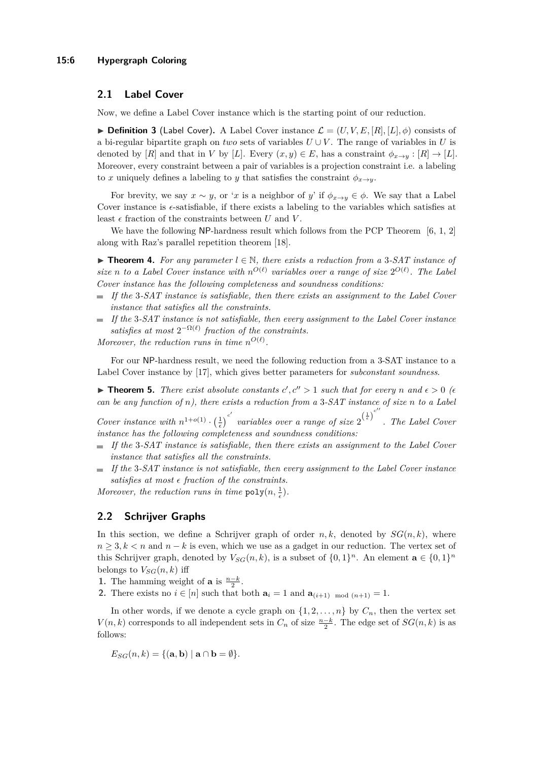#### <span id="page-5-0"></span>**2.1 Label Cover**

Now, we define a Label Cover instance which is the starting point of our reduction.

**Definition 3** (Label Cover). A Label Cover instance  $\mathcal{L} = (U, V, E, [R], [L], \phi)$  consists of a bi-regular bipartite graph on *two* sets of variables  $U \cup V$ . The range of variables in *U* is denoted by  $[R]$  and that in *V* by  $[L]$ . Every  $(x, y) \in E$ , has a constraint  $\phi_{x \to y} : [R] \to [L]$ . Moreover, every constraint between a pair of variables is a projection constraint i.e. a labeling to *x* uniquely defines a labeling to *y* that satisfies the constraint  $\phi_{x\to y}$ .

For brevity, we say  $x \sim y$ , or '*x* is a neighbor of *y*' if  $\phi_{x \to y} \in \phi$ . We say that a Label Cover instance is  $\epsilon$ -satisfiable, if there exists a labeling to the variables which satisfies at least  $\epsilon$  fraction of the constraints between  $U$  and  $V$ .

We have the following NP-hardness result which follows from the PCP Theorem  $[6, 1, 2]$  $[6, 1, 2]$  $[6, 1, 2]$  $[6, 1, 2]$  $[6, 1, 2]$ along with Raz's parallel repetition theorem [\[18\]](#page-10-5).

<span id="page-5-3"></span>**► Theorem 4.** For any parameter  $l \in \mathbb{N}$ , there exists a reduction from a 3-SAT instance of size *n* to a Label Cover instance with  $n^{O(\ell)}$  variables over a range of size  $2^{O(\ell)}$ . The Label *Cover instance has the following completeness and soundness conditions:*

- *If the* 3*-SAT instance is satisfiable, then there exists an assignment to the Label Cover instance that satisfies all the constraints.*
- ÷. *If the* 3*-SAT instance is not satisfiable, then every assignment to the Label Cover instance* satisfies at most  $2^{-\Omega(\ell)}$  fraction of the constraints.

*Moreover, the reduction runs in time*  $n^{O(\ell)}$ .

For our NP-hardness result, we need the following reduction from a 3-SAT instance to a Label Cover instance by [\[17\]](#page-10-1), which gives better parameters for *subconstant soundness*.

<span id="page-5-2"></span>**Find 1 Find 1 5.** *There exist absolute constants*  $c', c'' > 1$  *such that for every n* and  $\epsilon > 0$  ( $\epsilon$ *can be any function of n), there exists a reduction from a* 3*-SAT instance of size n to a Label*

*Cover instance with*  $n^{1+o(1)} \cdot \left(\frac{1}{\epsilon}\right)^{c'}$  *variables over a range of size*  $2^{\left(\frac{1}{\epsilon}\right)^{c''}}$ *. The Label Cover instance has the following completeness and soundness conditions:*

- *If the* 3*-SAT instance is satisfiable, then there exists an assignment to the Label Cover* ÷. *instance that satisfies all the constraints.*
- *If the* 3*-SAT instance is not satisfiable, then every assignment to the Label Cover instance*  $\blacksquare$ satisfies at most  $\epsilon$  fraction of the constraints.

Moreover, the reduction runs in time  $\text{poly}(n, \frac{1}{\epsilon})$ .

#### <span id="page-5-1"></span>**2.2 Schrijver Graphs**

In this section, we define a Schrijver graph of order  $n, k$ , denoted by  $SG(n, k)$ , where  $n \geq 3, k < n$  and  $n - k$  is even, which we use as a gadget in our reduction. The vertex set of this Schrijver graph, denoted by  $V_{SG}(n, k)$ , is a subset of  $\{0, 1\}^n$ . An element  $\mathbf{a} \in \{0, 1\}^n$ belongs to  $V_{SG}(n, k)$  iff

**1.** The hamming weight of **a** is  $\frac{n-k}{2}$ .

**2.** There exists no  $i \in [n]$  such that both  $\mathbf{a}_i = 1$  and  $\mathbf{a}_{(i+1) \mod (n+1)} = 1$ .

In other words, if we denote a cycle graph on  $\{1, 2, \ldots, n\}$  by  $C_n$ , then the vertex set *V*(*n, k*) corresponds to all independent sets in  $C_n$  of size  $\frac{n-k}{2}$ . The edge set of  $SG(n, k)$  is as follows:

$$
E_{SG}(n,k) = \{(\mathbf{a}, \mathbf{b}) \mid \mathbf{a} \cap \mathbf{b} = \emptyset\}.
$$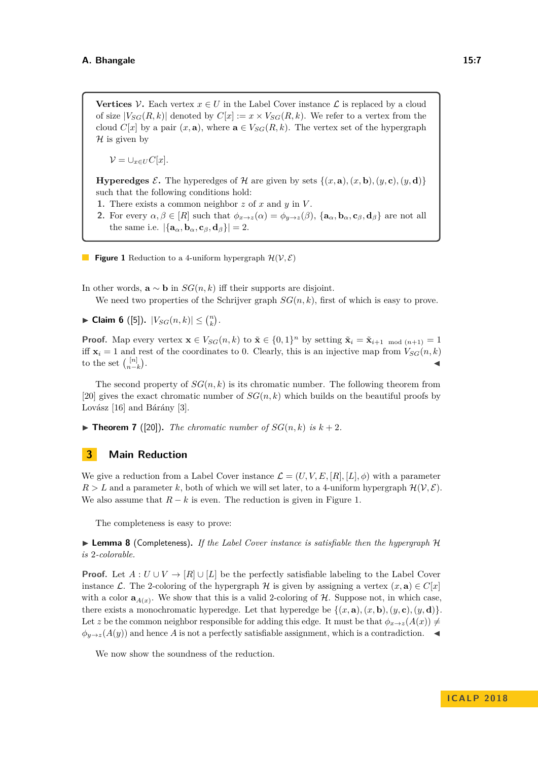<span id="page-6-0"></span>**Vertices**  $\mathcal{V}$ . Each vertex  $x \in U$  in the Label Cover instance  $\mathcal{L}$  is replaced by a cloud of size  $|V_{SG}(R, k)|$  denoted by  $C[x] := x \times V_{SG}(R, k)$ . We refer to a vertex from the cloud *C*[*x*] by a pair  $(x, \mathbf{a})$ , where  $\mathbf{a} \in V_{SG}(R, k)$ . The vertex set of the hypergraph  $\mathcal H$  is given by

 $V = \bigcup_{x \in U} C[x]$ .

**Hyperedges**  $\mathcal{E}$ . The hyperedges of  $\mathcal{H}$  are given by sets  $\{(x, \mathbf{a}), (x, \mathbf{b}), (y, \mathbf{c}), (y, \mathbf{d})\}$ such that the following conditions hold:

- **1.** There exists a common neighbor  $z$  of  $x$  and  $y$  in  $V$ .
- 2. For every  $\alpha, \beta \in [R]$  such that  $\phi_{x \to z}(\alpha) = \phi_{y \to z}(\beta)$ ,  $\{a_{\alpha}, b_{\alpha}, c_{\beta}, d_{\beta}\}\$  are not all the same i.e.  $|\{\mathbf{a}_{\alpha}, \mathbf{b}_{\alpha}, \mathbf{c}_{\beta}, \mathbf{d}_{\beta}\}| = 2$ .
- **Figure 1** Reduction to a 4-uniform hypergraph  $\mathcal{H}(\mathcal{V}, \mathcal{E})$

In other words, **a** ∼ **b** in *SG*(*n, k*) iff their supports are disjoint.

We need two properties of the Schrijver graph  $SG(n, k)$ , first of which is easy to prove.

▶ Claim 6 ([\[5\]](#page-9-7)).  $|V_{SG}(n, k)| \leq {n \choose k}$ .

**Proof.** Map every vertex  $\mathbf{x} \in V_{SG}(n,k)$  to  $\tilde{\mathbf{x}} \in \{0,1\}^n$  by setting  $\tilde{\mathbf{x}}_i = \tilde{\mathbf{x}}_{i+1 \mod (n+1)} = 1$ iff  $\mathbf{x}_i = 1$  and rest of the coordinates to 0. Clearly, this is an injective map from  $V_{SG}(n, k)$ to the set  $\binom{[n]}{n-k}$ . J

The second property of  $SG(n, k)$  is its chromatic number. The following theorem from [\[20\]](#page-10-6) gives the exact chromatic number of  $SG(n, k)$  which builds on the beautiful proofs by Lovász [\[16\]](#page-10-7) and Bárány [\[3\]](#page-9-13).

<span id="page-6-1"></span> $\blacktriangleright$  **Theorem 7** ([\[20\]](#page-10-6)). The chromatic number of  $SG(n, k)$  is  $k + 2$ .

### **3 Main Reduction**

We give a reduction from a Label Cover instance  $\mathcal{L} = (U, V, E, [R], [L], \phi)$  with a parameter  $R > L$  and a parameter k, both of which we will set later, to a 4-uniform hypergraph  $\mathcal{H}(\mathcal{V}, \mathcal{E})$ . We also assume that  $R - k$  is even. The reduction is given in Figure [1.](#page-6-0)

The completeness is easy to prove:

► Lemma 8 (Completeness). If the Label Cover instance is satisfiable then the hypergraph H *is* 2*-colorable.*

**Proof.** Let  $A: U \cup V \rightarrow [R] \cup [L]$  be the perfectly satisfiable labeling to the Label Cover instance L. The 2-coloring of the hypergraph H is given by assigning a vertex  $(x, \mathbf{a}) \in C[x]$ with a color  $\mathbf{a}_{A(x)}$ . We show that this is a valid 2-coloring of  $H$ . Suppose not, in which case, there exists a monochromatic hyperedge. Let that hyperedge be  $\{(x, \mathbf{a}), (x, \mathbf{b}), (y, \mathbf{c}), (y, \mathbf{d})\}$ . Let *z* be the common neighbor responsible for adding this edge. It must be that  $\phi_{x\to z}(A(x)) \neq$  $\phi_{y\to z}(A(y))$  and hence *A* is not a perfectly satisfiable assignment, which is a contradiction.

We now show the soundness of the reduction.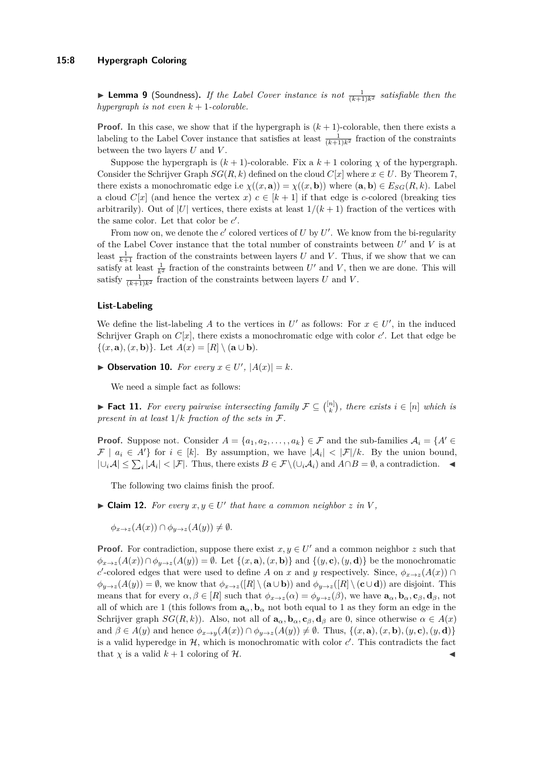#### **15:8 Hypergraph Coloring**

**Example 1** (Soundness). If the Label Cover instance is not  $\frac{1}{(k+1)k^2}$  satisfiable then the *hypergraph is not even k* + 1*-colorable.*

**Proof.** In this case, we show that if the hypergraph is  $(k + 1)$ -colorable, then there exists a labeling to the Label Cover instance that satisfies at least  $\frac{1}{(k+1)k^2}$  fraction of the constraints between the two layers *U* and *V* .

Suppose the hypergraph is  $(k + 1)$ -colorable. Fix a  $k + 1$  coloring  $\chi$  of the hypergraph. Consider the Schrijver Graph  $SG(R, k)$  defined on the cloud  $C[x]$  where  $x \in U$ . By [Theorem 7,](#page-6-1) there exists a monochromatic edge i.e  $\chi((x, \mathbf{a})) = \chi((x, \mathbf{b}))$  where  $(\mathbf{a}, \mathbf{b}) \in E_{SG}(R, k)$ . Label a cloud  $C[x]$  (and hence the vertex *x*)  $c \in [k+1]$  if that edge is *c*-colored (breaking ties arbitrarily). Out of |*U*| vertices, there exists at least  $1/(k+1)$  fraction of the vertices with the same color. Let that color be  $c'$ .

From now on, we denote the  $c'$  colored vertices of  $U$  by  $U'$ . We know from the bi-regularity of the Label Cover instance that the total number of constraints between  $U'$  and  $V$  is at least  $\frac{1}{k+1}$  fraction of the constraints between layers *U* and *V*. Thus, if we show that we can satisfy at least  $\frac{1}{k^2}$  fraction of the constraints between *U'* and *V*, then we are done. This will satisfy  $\frac{1}{(k+1)k^2}$  fraction of the constraints between layers *U* and *V*.

#### **List-Labeling**

We define the list-labeling A to the vertices in  $U'$  as follows: For  $x \in U'$ , in the induced Schrijver Graph on  $C[x]$ , there exists a monochromatic edge with color  $c'$ . Let that edge be  $\{(x, \mathbf{a}), (x, \mathbf{b})\}.$  Let  $A(x) = [R] \setminus (\mathbf{a} \cup \mathbf{b}).$ 

<span id="page-7-2"></span> $\blacktriangleright$  Observation 10. For every  $x \in U'$ ,  $|A(x)| = k$ .

We need a simple fact as follows:

<span id="page-7-1"></span>► **Fact 11.** For every pairwise intersecting family  $\mathcal{F} \subseteq \binom{[n]}{k}$ , there exists  $i \in [n]$  which is *present in at least* 1*/k fraction of the sets in* F*.*

**Proof.** Suppose not. Consider  $A = \{a_1, a_2, \ldots, a_k\} \in \mathcal{F}$  and the sub-families  $A_i = \{A' \in \mathcal{F} \mid a_i \in \mathcal{F} \}$  $\mathcal{F} \mid a_i \in A'$  for  $i \in [k]$ . By assumption, we have  $|\mathcal{A}_i| < |\mathcal{F}|/k$ . By the union bound,  $|∪<sub>i</sub>A| \leq ∑<sub>i</sub> |\mathcal{A}<sub>i</sub>| < |\mathcal{F}|$ . Thus, there exists  $B \in \mathcal{F} \setminus (\cup_i \mathcal{A}_i)$  and  $A \cap B = \emptyset$ , a contradiction.  $\blacktriangleleft$ 

The following two claims finish the proof.

<span id="page-7-0"></span>▶ **Claim 12.** *For every*  $x, y \in U'$  *that have a common neighbor*  $z$  *in*  $V$ *,* 

 $\phi_{x\to z}(A(x)) \cap \phi_{y\to z}(A(y)) \neq \emptyset$ .

**Proof.** For contradiction, suppose there exist  $x, y \in U'$  and a common neighbor *z* such that  $\phi_{x\to z}(A(x)) \cap \phi_{y\to z}(A(y)) = \emptyset$ . Let  $\{(x, \mathbf{a}), (x, \mathbf{b})\}$  and  $\{(y, \mathbf{c}), (y, \mathbf{d})\}$  be the monochromatic *c*<sup>-</sup>colored edges that were used to define *A* on *x* and *y* respectively. Since,  $\phi_{x\to z}(A(x))$  ∩  $\phi_{y\to z}(A(y)) = \emptyset$ , we know that  $\phi_{x\to z}([R] \setminus (a \cup b))$  and  $\phi_{y\to z}([R] \setminus (c \cup d))$  are disjoint. This means that for every  $\alpha, \beta \in [R]$  such that  $\phi_{x\to z}(\alpha) = \phi_{y\to z}(\beta)$ , we have  $\mathbf{a}_{\alpha}, \mathbf{b}_{\alpha}, \mathbf{c}_{\beta}, \mathbf{d}_{\beta}$ , not all of which are 1 (this follows from  $\mathbf{a}_{\alpha}, \mathbf{b}_{\alpha}$  not both equal to 1 as they form an edge in the Schrijver graph  $SG(R, k)$ ). Also, not all of  $\mathbf{a}_{\alpha}, \mathbf{b}_{\alpha}, \mathbf{c}_{\beta}, \mathbf{d}_{\beta}$  are 0, since otherwise  $\alpha \in A(x)$ and  $\beta \in A(y)$  and hence  $\phi_{x\to y}(A(x)) \cap \phi_{y\to z}(A(y)) \neq \emptyset$ . Thus,  $\{(x, \mathbf{a}), (x, \mathbf{b}), (y, \mathbf{c}), (y, \mathbf{d})\}$ is a valid hyperedge in  $H$ , which is monochromatic with color  $c'$ . This contradicts the fact that  $\chi$  is a valid  $k + 1$  coloring of  $\mathcal{H}$ .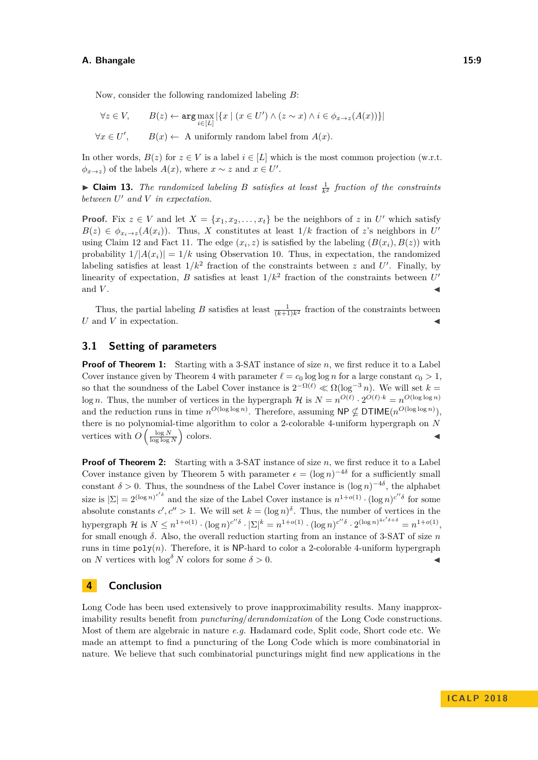Now, consider the following randomized labeling *B*:

$$
\forall z \in V, \qquad B(z) \leftarrow \arg \max_{i \in [L]} |\{x \mid (x \in U') \land (z \sim x) \land i \in \phi_{x \to z}(A(x))\}|
$$
  

$$
\forall x \in U', \qquad B(x) \leftarrow \text{ A uniformly random label from } A(x).
$$

In other words,  $B(z)$  for  $z \in V$  is a label  $i \in [L]$  which is the most common projection (w.r.t.  $\phi_{x\to z}$ ) of the labels *A*(*x*), where *x* ∼ *z* and *x* ∈ *U*'.

 $\blacktriangleright$  **Claim 13.** *The randomized labeling B satisfies at least*  $\frac{1}{k^2}$  *fraction of the constraints between U* <sup>0</sup> *and V in expectation.*

**Proof.** Fix  $z \in V$  and let  $X = \{x_1, x_2, \ldots, x_t\}$  be the neighbors of  $z$  in  $U'$  which satisfy  $B(z) \in \phi_{x_i \to z}(A(x_i))$ . Thus, *X* constitutes at least  $1/k$  fraction of *z*'s neighbors in *U* using [Claim 12](#page-7-0) and [Fact 11.](#page-7-1) The edge  $(x_i, z)$  is satisfied by the labeling  $(B(x_i), B(z))$  with probability  $1/|A(x_i)| = 1/k$  using [Observation 10.](#page-7-2) Thus, in expectation, the randomized labeling satisfies at least  $1/k^2$  fraction of the constraints between *z* and *U'*. Finally, by linearity of expectation, *B* satisfies at least  $1/k^2$  fraction of the constraints between  $U'$ and  $V$ .

Thus, the partial labeling *B* satisfies at least  $\frac{1}{(k+1)k^2}$  fraction of the constraints between  $U$  and  $V$  in expectation.

#### **3.1 Setting of parameters**

**Proof of [Theorem 1:](#page-1-0)** Starting with a 3-SAT instance of size *n*, we first reduce it to a Label Cover instance given by [Theorem 4](#page-5-3) with parameter  $\ell = c_0 \log \log n$  for a large constant  $c_0 > 1$ , so that the soundness of the Label Cover instance is  $2^{-\Omega(\ell)} \ll \Omega(\log^{-3} n)$ . We will set  $k =$ log *n*. Thus, the number of vertices in the hypergraph  $\mathcal{H}$  is  $N = n^{O(\ell)} \cdot 2^{O(\ell) \cdot k} = n^{O(\log \log n)}$ and the reduction runs in time  $n^{O(\log \log n)}$ . Therefore, assuming NP  $\nsubseteq$  DTIME $(n^{O(\log \log n)}),$ there is no polynomial-time algorithm to color a 2-colorable 4-uniform hypergraph on *N* vertices with  $O\left(\frac{\log N}{\log \log N}\right)$  $\epsilon$ olors.

**Proof of [Theorem 2:](#page-1-1)** Starting with a 3-SAT instance of size *n*, we first reduce it to a Label Cover instance given by [Theorem 5](#page-5-2) with parameter  $\epsilon = (\log n)^{-4\delta}$  for a sufficiently small constant  $\delta > 0$ . Thus, the soundness of the Label Cover instance is  $(\log n)^{-4\delta}$ , the alphabet size is  $|\Sigma| = 2^{(\log n)^{c'\delta}}$  and the size of the Label Cover instance is  $n^{1+o(1)} \cdot (\log n)^{c''\delta}$  for some absolute constants  $c', c'' > 1$ . We will set  $k = (\log n)^{\delta}$ . Thus, the number of vertices in the hypergraph  $\mathcal H$  is  $N \leq n^{1+o(1)} \cdot (\log n)^{c''\delta} \cdot |\Sigma|^k = n^{1+o(1)} \cdot (\log n)^{c''\delta} \cdot 2^{(\log n)^{4c'\delta+\delta}} = n^{1+o(1)}$ for small enough *δ*. Also, the overall reduction starting from an instance of 3-SAT of size *n* runs in time  $poly(n)$ . Therefore, it is NP-hard to color a 2-colorable 4-uniform hypergraph on *N* vertices with  $\log^{\delta} N$  colors for some  $\delta > 0$ .

#### **4 Conclusion**

Long Code has been used extensively to prove inapproximability results. Many inapproximability results benefit from *puncturing*/*derandomization* of the Long Code constructions. Most of them are algebraic in nature *e.g.* Hadamard code, Split code, Short code etc. We made an attempt to find a puncturing of the Long Code which is more combinatorial in nature. We believe that such combinatorial puncturings might find new applications in the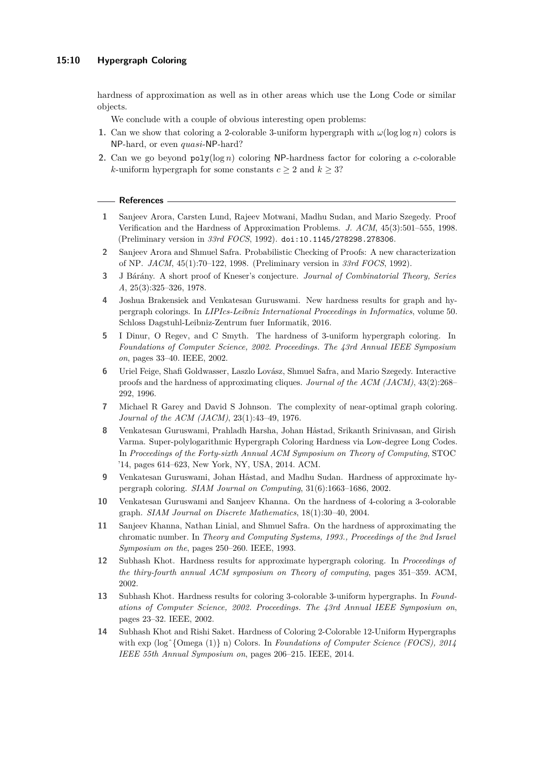hardness of approximation as well as in other areas which use the Long Code or similar objects.

We conclude with a couple of obvious interesting open problems:

- **1.** Can we show that coloring a 2-colorable 3-uniform hypergraph with  $\omega(\log \log n)$  colors is NP-hard, or even *quasi*-NP-hard?
- **2.** Can we go beyond poly(log *n*) coloring NP-hardness factor for coloring a *c*-colorable *k*-uniform hypergraph for some constants  $c \geq 2$  and  $k \geq 3$ ?

#### **References**

- <span id="page-9-11"></span>**1** Sanjeev Arora, Carsten Lund, Rajeev Motwani, Madhu Sudan, and Mario Szegedy. Proof Verification and the Hardness of Approximation Problems. *J. ACM*, 45(3):501–555, 1998. (Preliminary version in *33rd FOCS*, 1992). [doi:10.1145/278298.278306](http://dx.doi.org/10.1145/278298.278306).
- <span id="page-9-12"></span>**2** Sanjeev Arora and Shmuel Safra. Probabilistic Checking of Proofs: A new characterization of NP. *JACM*, 45(1):70–122, 1998. (Preliminary version in *33rd FOCS*, 1992).
- <span id="page-9-13"></span>**3** J Bárány. A short proof of Kneser's conjecture. *Journal of Combinatorial Theory, Series A*, 25(3):325–326, 1978.
- <span id="page-9-3"></span>**4** Joshua Brakensiek and Venkatesan Guruswami. New hardness results for graph and hypergraph colorings. In *LIPIcs-Leibniz International Proceedings in Informatics*, volume 50. Schloss Dagstuhl-Leibniz-Zentrum fuer Informatik, 2016.
- <span id="page-9-7"></span>**5** I Dinur, O Regev, and C Smyth. The hardness of 3-uniform hypergraph coloring. In *Foundations of Computer Science, 2002. Proceedings. The 43rd Annual IEEE Symposium on*, pages 33–40. IEEE, 2002.
- <span id="page-9-10"></span>**6** Uriel Feige, Shafi Goldwasser, Laszlo Lovász, Shmuel Safra, and Mario Szegedy. Interactive proofs and the hardness of approximating cliques. *Journal of the ACM (JACM)*, 43(2):268– 292, 1996.
- <span id="page-9-0"></span>**7** Michael R Garey and David S Johnson. The complexity of near-optimal graph coloring. *Journal of the ACM (JACM)*, 23(1):43–49, 1976.
- <span id="page-9-8"></span>**8** Venkatesan Guruswami, Prahladh Harsha, Johan Håstad, Srikanth Srinivasan, and Girish Varma. Super-polylogarithmic Hypergraph Coloring Hardness via Low-degree Long Codes. In *Proceedings of the Forty-sixth Annual ACM Symposium on Theory of Computing*, STOC '14, pages 614–623, New York, NY, USA, 2014. ACM.
- <span id="page-9-4"></span>**9** Venkatesan Guruswami, Johan Håstad, and Madhu Sudan. Hardness of approximate hypergraph coloring. *SIAM Journal on Computing*, 31(6):1663–1686, 2002.
- <span id="page-9-2"></span>**10** Venkatesan Guruswami and Sanjeev Khanna. On the hardness of 4-coloring a 3-colorable graph. *SIAM Journal on Discrete Mathematics*, 18(1):30–40, 2004.
- <span id="page-9-1"></span>**11** Sanjeev Khanna, Nathan Linial, and Shmuel Safra. On the hardness of approximating the chromatic number. In *Theory and Computing Systems, 1993., Proceedings of the 2nd Israel Symposium on the*, pages 250–260. IEEE, 1993.
- <span id="page-9-5"></span>**12** Subhash Khot. Hardness results for approximate hypergraph coloring. In *Proceedings of the thiry-fourth annual ACM symposium on Theory of computing*, pages 351–359. ACM, 2002.
- <span id="page-9-6"></span>**13** Subhash Khot. Hardness results for coloring 3-colorable 3-uniform hypergraphs. In *Foundations of Computer Science, 2002. Proceedings. The 43rd Annual IEEE Symposium on*, pages 23–32. IEEE, 2002.
- <span id="page-9-9"></span>**14** Subhash Khot and Rishi Saket. Hardness of Coloring 2-Colorable 12-Uniform Hypergraphs with exp (log<sup>s</sup>{Omega (1)} n) Colors. In *Foundations of Computer Science (FOCS), 2014 IEEE 55th Annual Symposium on*, pages 206–215. IEEE, 2014.